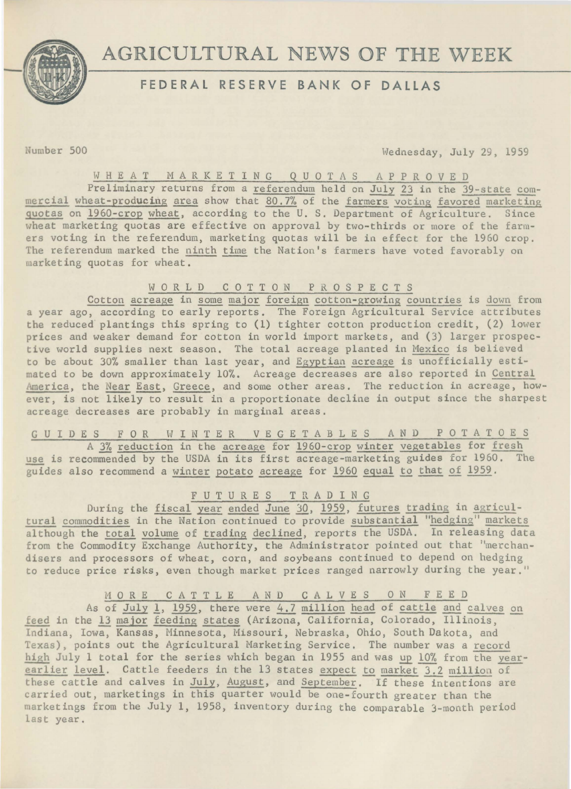

# AGRICULTURAL NEWS OF THE WEEK

## FEDERAL RESERVE BANK OF DALLAS

fomber 500 Wednesday, July 29, 1959

### WHEAT M A R K E T I N G Q U 0 T A S A P P R 0 V E D

Preliminary returns from a referendum held on July 23 in the 39-state commercial wheat-producing area show that  $80.7%$  of the farmers voting favored marketing quotas on 1960-crop wheat, according to the U. S. Department of Agriculture. Since uheat marketing quotas are effective on approval by two-thirds or more of the farmers voting in the referendum, marketing quotas will be in effect for the 1960 crop. The referendum marked the ninth time the Nation's farmers have voted favorably on arketing quotas for wheat.

### W 0 R L D C 0 T T 0 N P R 0 S P E C T S

Cotton acreage in some major foreign cotton-growing countries is down from a year ago, according to early reports. The Foreign Agricultural Service attributes the reduced plantings this spring to (1) tighter cotton production credit, (2) lower prices and weaker demand for cotton in world import markets, and (3) larger prospect ive world supplies next season. The total acreage planted in Mexico is believed to be about 30% smaller than last year, and Egyptian acreage is unofficially estimated to be down approximately 10%. Acreage decreases are also reported in Central America, the Near East, Greece, and some other areas. The reduction in acreage, however, is not likely to result in a proportionate decline in output since the sharpest acreage decreases are probably in marginal areas.

## G U I D E S F 0 R W I N T E R V E G E T A B L E S A N D P 0 T A T 0 E S

A 3% reduction in the acreage for 1960-crop winter vegetables for fresh use is recommended by the USDA in its first acreage-marketing guides for 1960. The guides also recommend a winter potato acreage for 1960 equal to that of 1959.

## F U T U R E S T R A D I N G

During the fiscal year ended June 30, 1959, futures trading in agricultural commodities in the Nation continued to provide substantial "hedging" markets although the total volume of trading declined, reports the USDA. In releasing data from the Commodity Exchange Authority, the Administrator pointed out that "merchandisers and processors of wheat, corn, and soybeans continued to depend on hedging to reduce price risks, even though market prices ranged narrowly during the year."

## M 0 R E C A T T L E AND CALVES 0 N F E E D

As of July 1, 1959, there were 4.7 million head of cattle and calves on feed in the 13 major feeding states (Arizona, California, Colorado, Illinois, Indiana, Iowa, Kansas, Minnesota, Missouri, Nebraska, Ohio, South Dakota, and Texas), points out the Agricultural Marketing Service. The number was a record high July 1 total for the series which began in 1955 and was up 10% from the yearearlier level. Cattle feeders in the 13 states expect to market 3.2 million of these cattle and calves in July, August, and September. If these intentions are carried out, marketings in this quarter would be one-fourth greater than the mar ketings from the July 1, 1958, inventory during the comparable 3-month period last year.